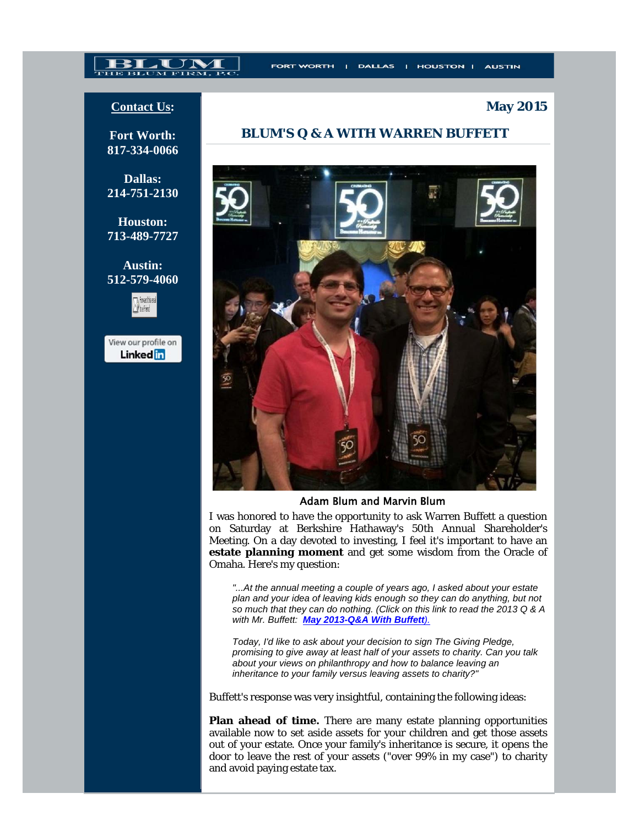# THE BLUM FIRM,

**May 2015**

## **Contact Us:**

**Fort Worth: 817-334-0066** 

**Dallas: 214-751-2130** 

**Houston: 713-489-7727** 

**Austin: 512-579-4060**



View our profile on **Linked** in

# **BLUM'S Q & A WITH WARREN BUFFETT**



#### Adam Blum and Marvin Blum

I was honored to have the opportunity to ask Warren Buffett a question on Saturday at Berkshire Hathaway's 50th Annual Shareholder's Meeting. On a day devoted to investing, I feel it's important to have an **estate planning moment** and get some wisdom from the Oracle of Omaha. Here's my question:

*"...At the annual meeting a couple of years ago, I asked about your estate plan and your idea of leaving kids enough so they can do anything, but not so much that they can do nothing. (Click on this link to read the 2013 Q & A with Mr. Buffett: May 2013-Q&A With Buffett).*

*Today, I'd like to ask about your decision to sign The Giving Pledge, promising to give away at least half of your assets to charity. Can you talk about your views on philanthropy and how to balance leaving an inheritance to your family versus leaving assets to charity?"*

Buffett's response was very insightful, containing the following ideas:

**Plan ahead of time.** There are many estate planning opportunities available now to set aside assets for your children and get those assets out of your estate. Once your family's inheritance is secure, it opens the door to leave the rest of your assets ("over 99% in my case") to charity and avoid paying estate tax.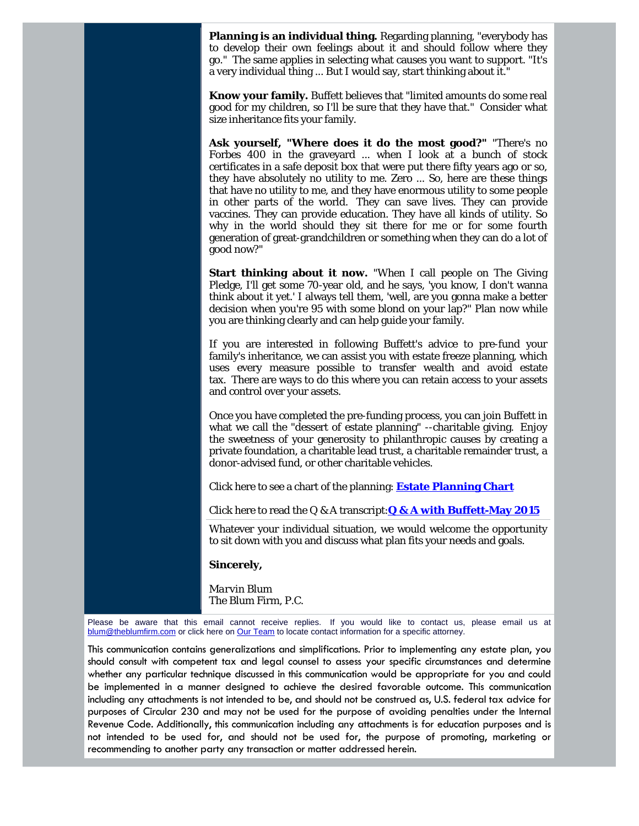**Planning is an individual thing.** Regarding planning, "everybody has to develop their own feelings about it and should follow where they go." The same applies in selecting what causes you want to support. "It's a very individual thing ... But I would say, start thinking about it."

**Know your family.** Buffett believes that "limited amounts do some real good for my children, so I'll be sure that they have that." Consider what size inheritance fits your family.

**Ask yourself, "Where does it do the most good?"** "There's no Forbes 400 in the graveyard ... when I look at a bunch of stock certificates in a safe deposit box that were put there fifty years ago or so, they have absolutely no utility to me. Zero ... So, here are these things that have no utility to me, and they have enormous utility to some people in other parts of the world. They can save lives. They can provide vaccines. They can provide education. They have all kinds of utility. So why in the world should they sit there for me or for some fourth generation of great-grandchildren or something when they can do a lot of good now?"

**Start thinking about it now.** "When I call people on The Giving Pledge, I'll get some 70-year old, and he says, 'you know, I don't wanna think about it yet.' I always tell them, 'well, are you gonna make a better decision when you're 95 with some blond on your lap?" Plan now while you are thinking clearly and can help guide your family.

If you are interested in following Buffett's advice to pre-fund your family's inheritance, we can assist you with estate freeze planning, which uses every measure possible to transfer wealth and avoid estate tax. There are ways to do this where you can retain access to your assets and control over your assets.

Once you have completed the pre-funding process, you can join Buffett in what we call the "dessert of estate planning" --charitable giving. Enjoy the sweetness of your generosity to philanthropic causes by creating a private foundation, a charitable lead trust, a charitable remainder trust, a donor-advised fund, or other charitable vehicles.

Click here to see a chart of the planning: **Estate Planning Chart**

Click here to read the Q & A transcript:**Q & A with Buffett-May 2015**

Whatever your individual situation, we would welcome the opportunity to sit down with you and discuss what plan fits your needs and goals.

#### **Sincerely,**

*Marvin Blum* The Blum Firm, P.C.

Please be aware that this email cannot receive replies. If you would like to contact us, please email us at blum@theblumfirm.com or click here on Our Team to locate contact information for a specific attorney.

This communication contains generalizations and simplifications. Prior to implementing any estate plan, you should consult with competent tax and legal counsel to assess your specific circumstances and determine whether any particular technique discussed in this communication would be appropriate for you and could be implemented in a manner designed to achieve the desired favorable outcome. This communication including any attachments is not intended to be, and should not be construed as, U.S. federal tax advice for purposes of Circular 230 and may not be used for the purpose of avoiding penalties under the Internal Revenue Code. Additionally, this communication including any attachments is for education purposes and is not intended to be used for, and should not be used for, the purpose of promoting, marketing or recommending to another party any transaction or matter addressed herein.